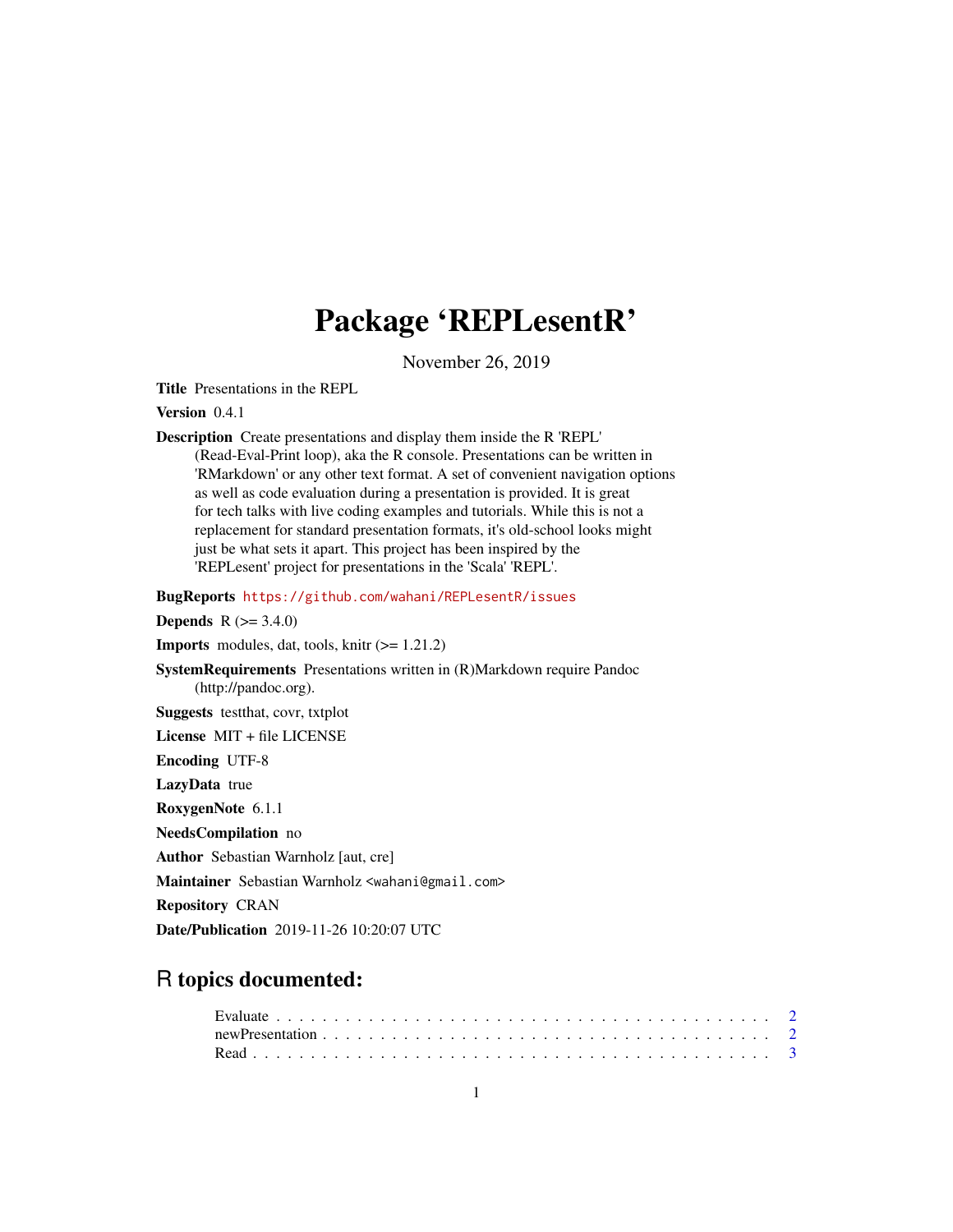## Package 'REPLesentR'

November 26, 2019

Title Presentations in the REPL

Version 0.4.1

Description Create presentations and display them inside the R 'REPL' (Read-Eval-Print loop), aka the R console. Presentations can be written in 'RMarkdown' or any other text format. A set of convenient navigation options as well as code evaluation during a presentation is provided. It is great for tech talks with live coding examples and tutorials. While this is not a replacement for standard presentation formats, it's old-school looks might just be what sets it apart. This project has been inspired by the 'REPLesent' project for presentations in the 'Scala' 'REPL'.

BugReports <https://github.com/wahani/REPLesentR/issues>

**Depends**  $R (= 3.4.0)$ 

**Imports** modules, dat, tools, knitr  $(>= 1.21.2)$ 

SystemRequirements Presentations written in (R)Markdown require Pandoc (http://pandoc.org). Suggests testthat, covr, txtplot

License MIT + file LICENSE

Encoding UTF-8

LazyData true

RoxygenNote 6.1.1

NeedsCompilation no

Author Sebastian Warnholz [aut, cre]

Maintainer Sebastian Warnholz <wahani@gmail.com>

Repository CRAN

Date/Publication 2019-11-26 10:20:07 UTC

### R topics documented: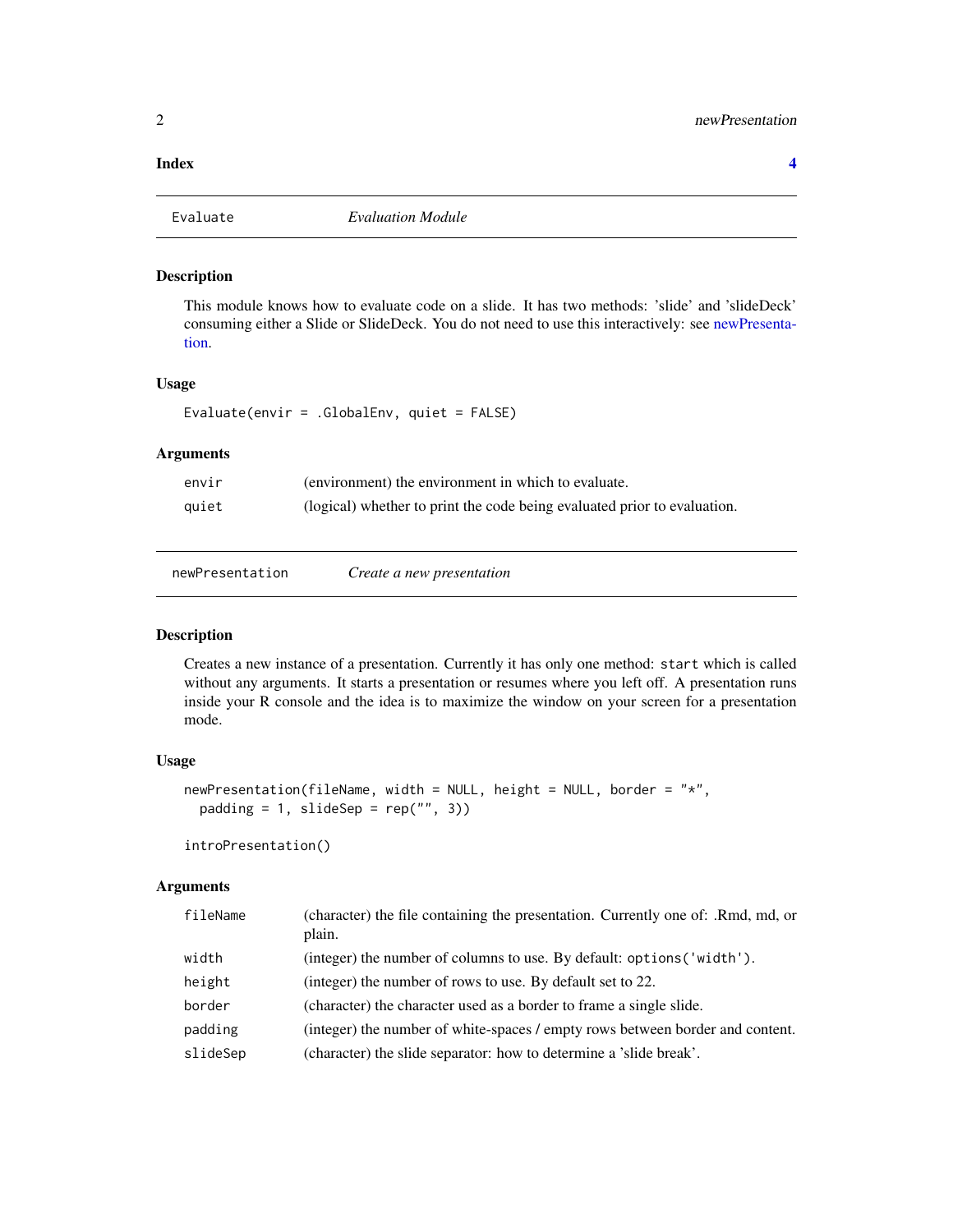### <span id="page-1-0"></span>**Index** [4](#page-3-0)

Evaluate *Evaluation Module*

### Description

This module knows how to evaluate code on a slide. It has two methods: 'slide' and 'slideDeck' consuming either a Slide or SlideDeck. You do not need to use this interactively: see [newPresenta](#page-1-1)[tion.](#page-1-1)

### Usage

Evaluate(envir = .GlobalEnv, quiet = FALSE)

### Arguments

| envir | (environment) the environment in which to evaluate.                      |
|-------|--------------------------------------------------------------------------|
| quiet | (logical) whether to print the code being evaluated prior to evaluation. |

<span id="page-1-1"></span>newPresentation *Create a new presentation*

### Description

Creates a new instance of a presentation. Currently it has only one method: start which is called without any arguments. It starts a presentation or resumes where you left off. A presentation runs inside your R console and the idea is to maximize the window on your screen for a presentation mode.

### Usage

```
newPresentation(fileName, width = NULL, height = NULL, border = "*",
 padding = 1, slideSep = rep("", 3))
```
introPresentation()

### Arguments

| fileName | (character) the file containing the presentation. Currently one of: .Rmd, md, or<br>plain. |
|----------|--------------------------------------------------------------------------------------------|
| width    | (integer) the number of columns to use. By default: options ('width').                     |
| height   | (integer) the number of rows to use. By default set to 22.                                 |
| border   | (character) the character used as a border to frame a single slide.                        |
| padding  | (integer) the number of white-spaces / empty rows between border and content.              |
| slideSep | (character) the slide separator: how to determine a 'slide break'.                         |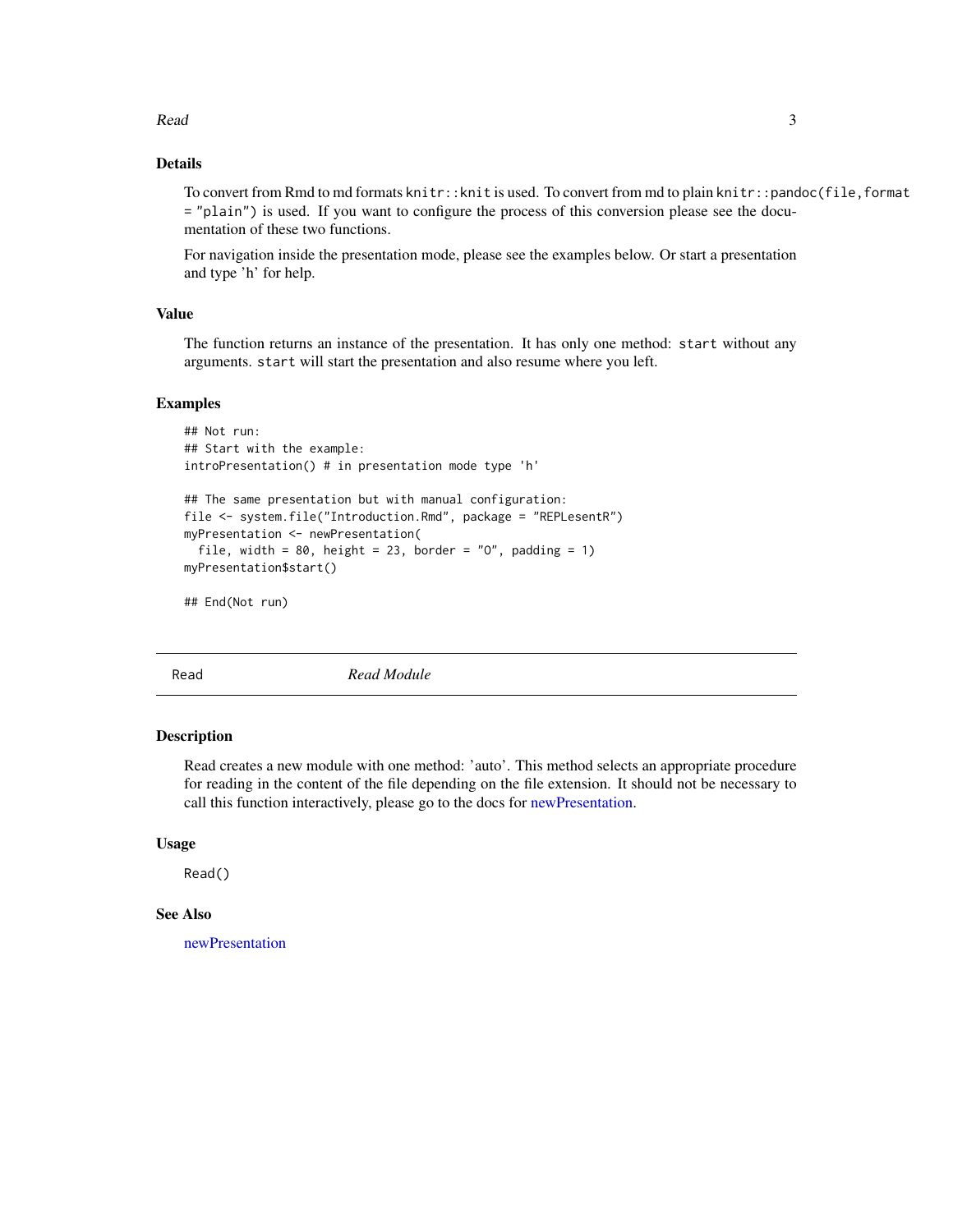### <span id="page-2-0"></span> $Read$  3

### Details

To convert from Rmd to md formats knitr::knit is used. To convert from md to plain knitr::pandoc(file,format = "plain") is used. If you want to configure the process of this conversion please see the documentation of these two functions.

For navigation inside the presentation mode, please see the examples below. Or start a presentation and type 'h' for help.

### Value

The function returns an instance of the presentation. It has only one method: start without any arguments. start will start the presentation and also resume where you left.

### Examples

```
## Not run:
## Start with the example:
introPresentation() # in presentation mode type 'h'
## The same presentation but with manual configuration:
file <- system.file("Introduction.Rmd", package = "REPLesentR")
myPresentation <- newPresentation(
  file, width = 80, height = 23, border = "0", padding = 1)
myPresentation$start()
```
## End(Not run)

Read *Read Module*

### Description

Read creates a new module with one method: 'auto'. This method selects an appropriate procedure for reading in the content of the file depending on the file extension. It should not be necessary to call this function interactively, please go to the docs for [newPresentation.](#page-1-1)

### Usage

Read()

### See Also

[newPresentation](#page-1-1)